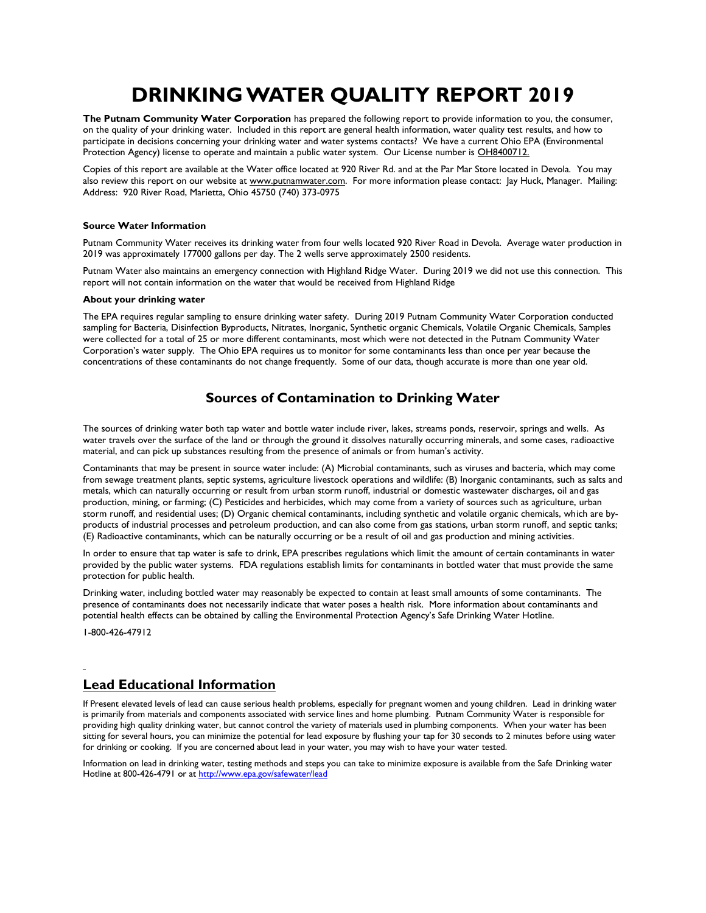# **DRINKING WATER QUALITY REPORT 2019**

**The Putnam Community Water Corporation** has prepared the following report to provide information to you, the consumer, on the quality of your drinking water. Included in this report are general health information, water quality test results, and how to participate in decisions concerning your drinking water and water systems contacts? We have a current Ohio EPA (Environmental Protection Agency) license to operate and maintain a public water system. Our License number is OH8400712.

Copies of this report are available at the Water office located at 920 River Rd. and at the Par Mar Store located in Devola. You may also review this report on our website at www.putnamwater.com. For more information please contact: Jay Huck, Manager. Mailing: Address: 920 River Road, Marietta, Ohio 45750 (740) 373-0975

#### **Source Water Information**

Putnam Community Water receives its drinking water from four wells located 920 River Road in Devola. Average water production in 2019 was approximately 177000 gallons per day. The 2 wells serve approximately 2500 residents.

Putnam Water also maintains an emergency connection with Highland Ridge Water. During 2019 we did not use this connection. This report will not contain information on the water that would be received from Highland Ridge

#### **About your drinking water**

The EPA requires regular sampling to ensure drinking water safety. During 2019 Putnam Community Water Corporation conducted sampling for Bacteria, Disinfection Byproducts, Nitrates, Inorganic, Synthetic organic Chemicals, Volatile Organic Chemicals, Samples were collected for a total of 25 or more different contaminants, most which were not detected in the Putnam Community Water Corporation's water supply. The Ohio EPA requires us to monitor for some contaminants less than once per year because the concentrations of these contaminants do not change frequently. Some of our data, though accurate is more than one year old.

### **Sources of Contamination to Drinking Water**

The sources of drinking water both tap water and bottle water include river, lakes, streams ponds, reservoir, springs and wells. As water travels over the surface of the land or through the ground it dissolves naturally occurring minerals, and some cases, radioactive material, and can pick up substances resulting from the presence of animals or from human's activity.

Contaminants that may be present in source water include: (A) Microbial contaminants, such as viruses and bacteria, which may come from sewage treatment plants, septic systems, agriculture livestock operations and wildlife: (B) Inorganic contaminants, such as salts and metals, which can naturally occurring or result from urban storm runoff, industrial or domestic wastewater discharges, oil and gas production, mining, or farming; (C) Pesticides and herbicides, which may come from a variety of sources such as agriculture, urban storm runoff, and residential uses; (D) Organic chemical contaminants, including synthetic and volatile organic chemicals, which are byproducts of industrial processes and petroleum production, and can also come from gas stations, urban storm runoff, and septic tanks; (E) Radioactive contaminants, which can be naturally occurring or be a result of oil and gas production and mining activities.

In order to ensure that tap water is safe to drink, EPA prescribes regulations which limit the amount of certain contaminants in water provided by the public water systems. FDA regulations establish limits for contaminants in bottled water that must provide the same protection for public health.

Drinking water, including bottled water may reasonably be expected to contain at least small amounts of some contaminants. The presence of contaminants does not necessarily indicate that water poses a health risk. More information about contaminants and potential health effects can be obtained by calling the Environmental Protection Agency's Safe Drinking Water Hotline.

1-800-426-47912

### **Lead Educational Information**

If Present elevated levels of lead can cause serious health problems, especially for pregnant women and young children. Lead in drinking water is primarily from materials and components associated with service lines and home plumbing. Putnam Community Water is responsible for providing high quality drinking water, but cannot control the variety of materials used in plumbing components. When your water has been sitting for several hours, you can minimize the potential for lead exposure by flushing your tap for 30 seconds to 2 minutes before using water for drinking or cooking. If you are concerned about lead in your water, you may wish to have your water tested.

Information on lead in drinking water, testing methods and steps you can take to minimize exposure is available from the Safe Drinking water Hotline at 800-426-4791 or a[t http://www.epa.gov/safewater/lead](http://www.epa.gov/safewater/lead)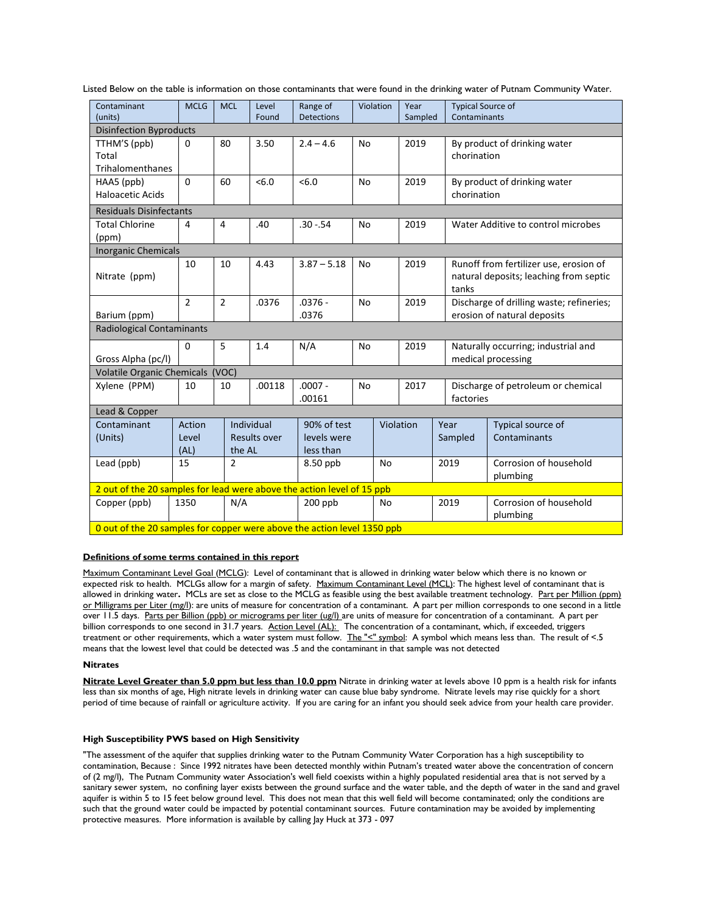| Listed Below on the table is information on those contaminants that were found in the drinking water of Putnam Community Water. |  |
|---------------------------------------------------------------------------------------------------------------------------------|--|
|---------------------------------------------------------------------------------------------------------------------------------|--|

| Contaminant<br>(units)                                                  | <b>MCLG</b>             | <b>MCL</b>     | Level<br>Found                    | Range of<br><b>Detections</b>           |           | Violation<br>Year |           |  | <b>Typical Source of</b><br>Contaminants                                                  |                                    |  |
|-------------------------------------------------------------------------|-------------------------|----------------|-----------------------------------|-----------------------------------------|-----------|-------------------|-----------|--|-------------------------------------------------------------------------------------------|------------------------------------|--|
| Sampled<br><b>Disinfection Byproducts</b>                               |                         |                |                                   |                                         |           |                   |           |  |                                                                                           |                                    |  |
| TTHM'S (ppb)<br>Total<br>Trihalomenthanes                               | $\mathbf 0$             | 80             | 3.50                              | $2.4 - 4.6$                             | <b>No</b> |                   | 2019      |  | chorination                                                                               | By product of drinking water       |  |
| HAA5 (ppb)<br><b>Haloacetic Acids</b>                                   | $\Omega$                | 60             | <6.0                              | <6.0                                    | <b>No</b> |                   | 2019      |  | chorination                                                                               | By product of drinking water       |  |
| <b>Residuals Disinfectants</b>                                          |                         |                |                                   |                                         |           |                   |           |  |                                                                                           |                                    |  |
| <b>Total Chlorine</b><br>(ppm)                                          | 4                       | 4              | .40                               | $.30 - .54$                             | No        | 2019              |           |  | Water Additive to control microbes                                                        |                                    |  |
| <b>Inorganic Chemicals</b>                                              |                         |                |                                   |                                         |           |                   |           |  |                                                                                           |                                    |  |
| Nitrate (ppm)                                                           | 10                      | 10             | 4.43                              | $3.87 - 5.18$                           | No        |                   | 2019      |  | Runoff from fertilizer use, erosion of<br>natural deposits; leaching from septic<br>tanks |                                    |  |
| Barium (ppm)                                                            | $\overline{2}$          | $\overline{2}$ | .0376                             | $.0376 -$<br>.0376                      | <b>No</b> | 2019              |           |  | Discharge of drilling waste; refineries;<br>erosion of natural deposits                   |                                    |  |
| <b>Radiological Contaminants</b>                                        |                         |                |                                   |                                         |           |                   |           |  |                                                                                           |                                    |  |
| Gross Alpha (pc/l)                                                      | 0                       | 5<br>1.4       |                                   | N/A<br><b>No</b>                        |           |                   | 2019      |  | Naturally occurring; industrial and<br>medical processing                                 |                                    |  |
| Volatile Organic Chemicals (VOC)                                        |                         |                |                                   |                                         |           |                   |           |  |                                                                                           |                                    |  |
| Xylene (PPM)                                                            | 10                      | 10             | .00118                            | $.0007 -$<br>.00161                     | <b>No</b> |                   | 2017      |  | factories                                                                                 | Discharge of petroleum or chemical |  |
| Lead & Copper                                                           |                         |                |                                   |                                         |           |                   |           |  |                                                                                           |                                    |  |
| Contaminant<br>(Units)                                                  | Action<br>Level<br>(AL) | the AL         | Individual<br><b>Results over</b> | 90% of test<br>levels were<br>less than |           |                   | Violation |  | Year<br>Sampled                                                                           | Typical source of<br>Contaminants  |  |
| Lead (ppb)                                                              | 15                      | $\overline{2}$ |                                   | 8.50 ppb                                |           | <b>No</b>         |           |  | 2019                                                                                      | Corrosion of household<br>plumbing |  |
| 2 out of the 20 samples for lead were above the action level of 15 ppb  |                         |                |                                   |                                         |           |                   |           |  |                                                                                           |                                    |  |
| Copper (ppb)                                                            | 1350                    | N/A            |                                   | $200$ ppb                               |           | <b>No</b>         |           |  | 2019                                                                                      | Corrosion of household<br>plumbing |  |
| 0 out of the 20 samples for copper were above the action level 1350 ppb |                         |                |                                   |                                         |           |                   |           |  |                                                                                           |                                    |  |

#### **Definitions of some terms contained in this report**

Maximum Contaminant Level Goal (MCLG): Level of contaminant that is allowed in drinking water below which there is no known or expected risk to health. MCLGs allow for a margin of safety. Maximum Contaminant Level (MCL): The highest level of contaminant that is allowed in drinking water**.** MCLs are set as close to the MCLG as feasible using the best available treatment technology. Part per Million (ppm) or Milligrams per Liter (mg/l): are units of measure for concentration of a contaminant. A part per million corresponds to one second in a little over 11.5 days. Parts per Billion (ppb) or micrograms per liter (ug/l) are units of measure for concentration of a contaminant. A part per billion corresponds to one second in 31.7 years. Action Level (AL): The concentration of a contaminant, which, if exceeded, triggers treatment or other requirements, which a water system must follow. The "<" symbol: A symbol which means less than. The result of <.5 means that the lowest level that could be detected was .5 and the contaminant in that sample was not detected

#### **Nitrates**

**Nitrate Level Greater than 5.0 ppm but less than 10.0 ppm** Nitrate in drinking water at levels above 10 ppm is a health risk for infants less than six months of age, High nitrate levels in drinking water can cause blue baby syndrome. Nitrate levels may rise quickly for a short period of time because of rainfall or agriculture activity. If you are caring for an infant you should seek advice from your health care provider.

#### **High Susceptibility PWS based on High Sensitivity**

"The assessment of the aquifer that supplies drinking water to the Putnam Community Water Corporation has a high susceptibility to contamination, Because : Since 1992 nitrates have been detected monthly within Putnam's treated water above the concentration of concern of (2 mg/l), The Putnam Community water Association's well field coexists within a highly populated residential area that is not served by a sanitary sewer system, no confining layer exists between the ground surface and the water table, and the depth of water in the sand and gravel aquifer is within 5 to 15 feet below ground level. This does not mean that this well field will become contaminated; only the conditions are such that the ground water could be impacted by potential contaminant sources. Future contamination may be avoided by implementing protective measures. More information is available by calling Jay Huck at 373 - 097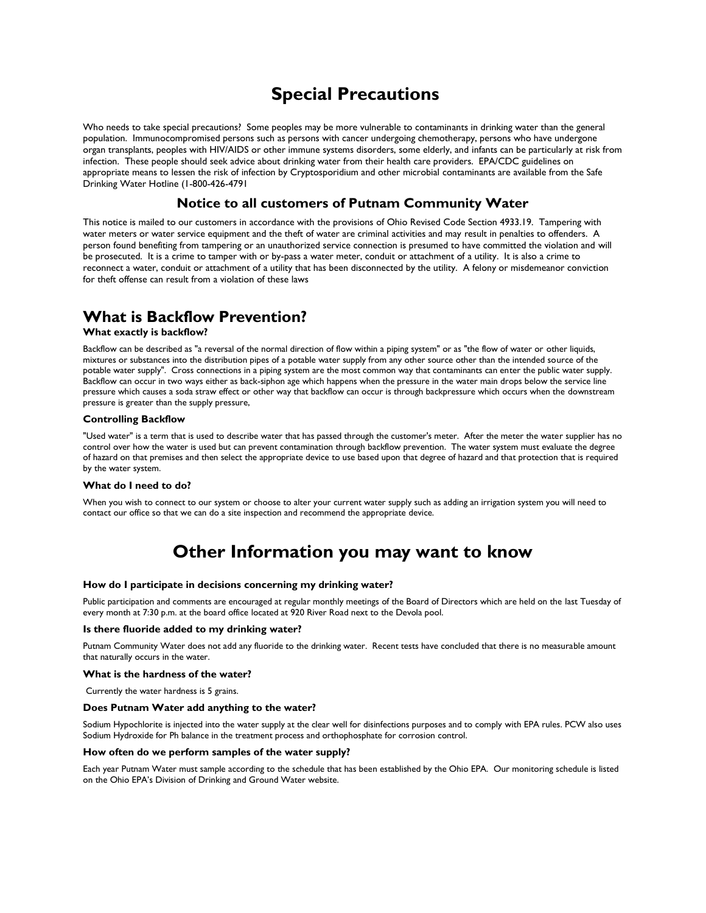## **Special Precautions**

Who needs to take special precautions? Some peoples may be more vulnerable to contaminants in drinking water than the general population. Immunocompromised persons such as persons with cancer undergoing chemotherapy, persons who have undergone organ transplants, peoples with HIV/AIDS or other immune systems disorders, some elderly, and infants can be particularly at risk from infection. These people should seek advice about drinking water from their health care providers. EPA/CDC guidelines on appropriate means to lessen the risk of infection by Cryptosporidium and other microbial contaminants are available from the Safe Drinking Water Hotline (1-800-426-4791

### **Notice to all customers of Putnam Community Water**

This notice is mailed to our customers in accordance with the provisions of Ohio Revised Code Section 4933.19. Tampering with water meters or water service equipment and the theft of water are criminal activities and may result in penalties to offenders. A person found benefiting from tampering or an unauthorized service connection is presumed to have committed the violation and will be prosecuted. It is a crime to tamper with or by-pass a water meter, conduit or attachment of a utility. It is also a crime to reconnect a water, conduit or attachment of a utility that has been disconnected by the utility. A felony or misdemeanor conviction for theft offense can result from a violation of these laws

## **What is Backflow Prevention?**

#### **What exactly is backflow?**

Backflow can be described as "a reversal of the normal direction of flow within a piping system" or as "the flow of water or other liquids, mixtures or substances into the distribution pipes of a potable water supply from any other source other than the intended source of the potable water supply". Cross connections in a piping system are the most common way that contaminants can enter the public water supply. Backflow can occur in two ways either as back-siphon age which happens when the pressure in the water main drops below the service line pressure which causes a soda straw effect or other way that backflow can occur is through backpressure which occurs when the downstream pressure is greater than the supply pressure,

#### **Controlling Backflow**

"Used water" is a term that is used to describe water that has passed through the customer's meter. After the meter the water supplier has no control over how the water is used but can prevent contamination through backflow prevention. The water system must evaluate the degree of hazard on that premises and then select the appropriate device to use based upon that degree of hazard and that protection that is required by the water system.

#### **What do I need to do?**

When you wish to connect to our system or choose to alter your current water supply such as adding an irrigation system you will need to contact our office so that we can do a site inspection and recommend the appropriate device.

## **Other Information you may want to know**

#### **How do I participate in decisions concerning my drinking water?**

Public participation and comments are encouraged at regular monthly meetings of the Board of Directors which are held on the last Tuesday of every month at 7:30 p.m. at the board office located at 920 River Road next to the Devola pool.

#### **Is there fluoride added to my drinking water?**

Putnam Community Water does not add any fluoride to the drinking water. Recent tests have concluded that there is no measurable amount that naturally occurs in the water.

#### **What is the hardness of the water?**

Currently the water hardness is 5 grains.

#### **Does Putnam Water add anything to the water?**

Sodium Hypochlorite is injected into the water supply at the clear well for disinfections purposes and to comply with EPA rules. PCW also uses Sodium Hydroxide for Ph balance in the treatment process and orthophosphate for corrosion control.

#### **How often do we perform samples of the water supply?**

Each year Putnam Water must sample according to the schedule that has been established by the Ohio EPA. Our monitoring schedule is listed on the Ohio EPA's Division of Drinking and Ground Water website.